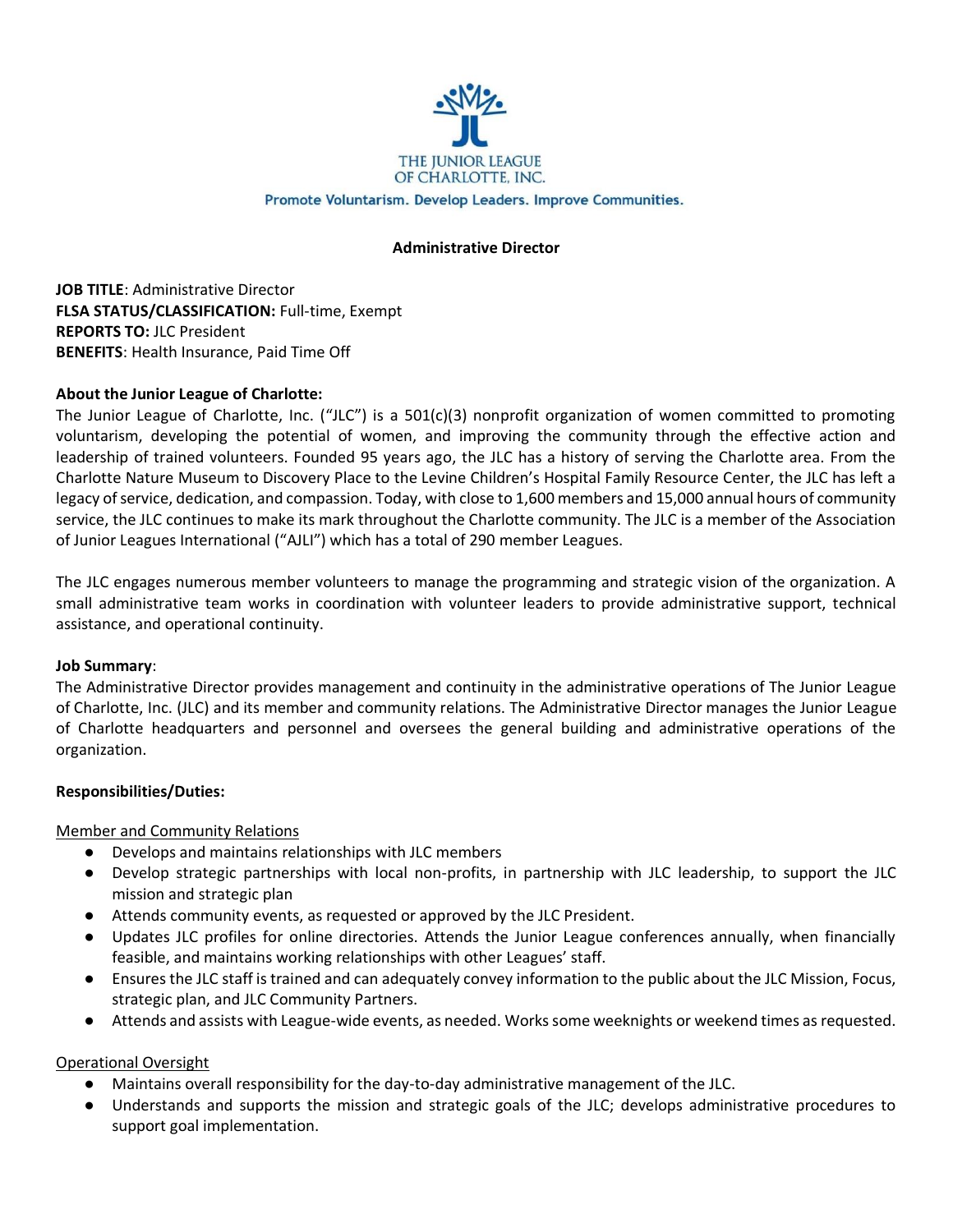

#### Promote Voluntarism. Develop Leaders. Improve Communities.

## **Administrative Director**

**JOB TITLE**: Administrative Director **FLSA STATUS/CLASSIFICATION:** Full-time, Exempt **REPORTS TO:** JLC President **BENEFITS**: Health Insurance, Paid Time Off

### **About the Junior League of Charlotte:**

The Junior League of Charlotte, Inc. ("JLC") is a 501(c)(3) nonprofit organization of women committed to promoting voluntarism, developing the potential of women, and improving the community through the effective action and leadership of trained volunteers. Founded 95 years ago, the JLC has a history of serving the Charlotte area. From the Charlotte Nature Museum to Discovery Place to the Levine Children's Hospital Family Resource Center, the JLC has left a legacy of service, dedication, and compassion. Today, with close to 1,600 members and 15,000 annual hours of community service, the JLC continues to make its mark throughout the Charlotte community. The JLC is a member of the Association of Junior Leagues International ("AJLI") which has a total of 290 member Leagues.

The JLC engages numerous member volunteers to manage the programming and strategic vision of the organization. A small administrative team works in coordination with volunteer leaders to provide administrative support, technical assistance, and operational continuity.

### **Job Summary**:

The Administrative Director provides management and continuity in the administrative operations of The Junior League of Charlotte, Inc. (JLC) and its member and community relations. The Administrative Director manages the Junior League of Charlotte headquarters and personnel and oversees the general building and administrative operations of the organization.

### **Responsibilities/Duties:**

Member and Community Relations

- Develops and maintains relationships with JLC members
- Develop strategic partnerships with local non-profits, in partnership with JLC leadership, to support the JLC mission and strategic plan
- Attends community events, as requested or approved by the JLC President.
- Updates JLC profiles for online directories. Attends the Junior League conferences annually, when financially feasible, and maintains working relationships with other Leagues' staff.
- Ensures the JLC staff is trained and can adequately convey information to the public about the JLC Mission, Focus, strategic plan, and JLC Community Partners.
- Attends and assists with League-wide events, as needed. Works some weeknights or weekend times as requested.

Operational Oversight

- Maintains overall responsibility for the day-to-day administrative management of the JLC.
- Understands and supports the mission and strategic goals of the JLC; develops administrative procedures to support goal implementation.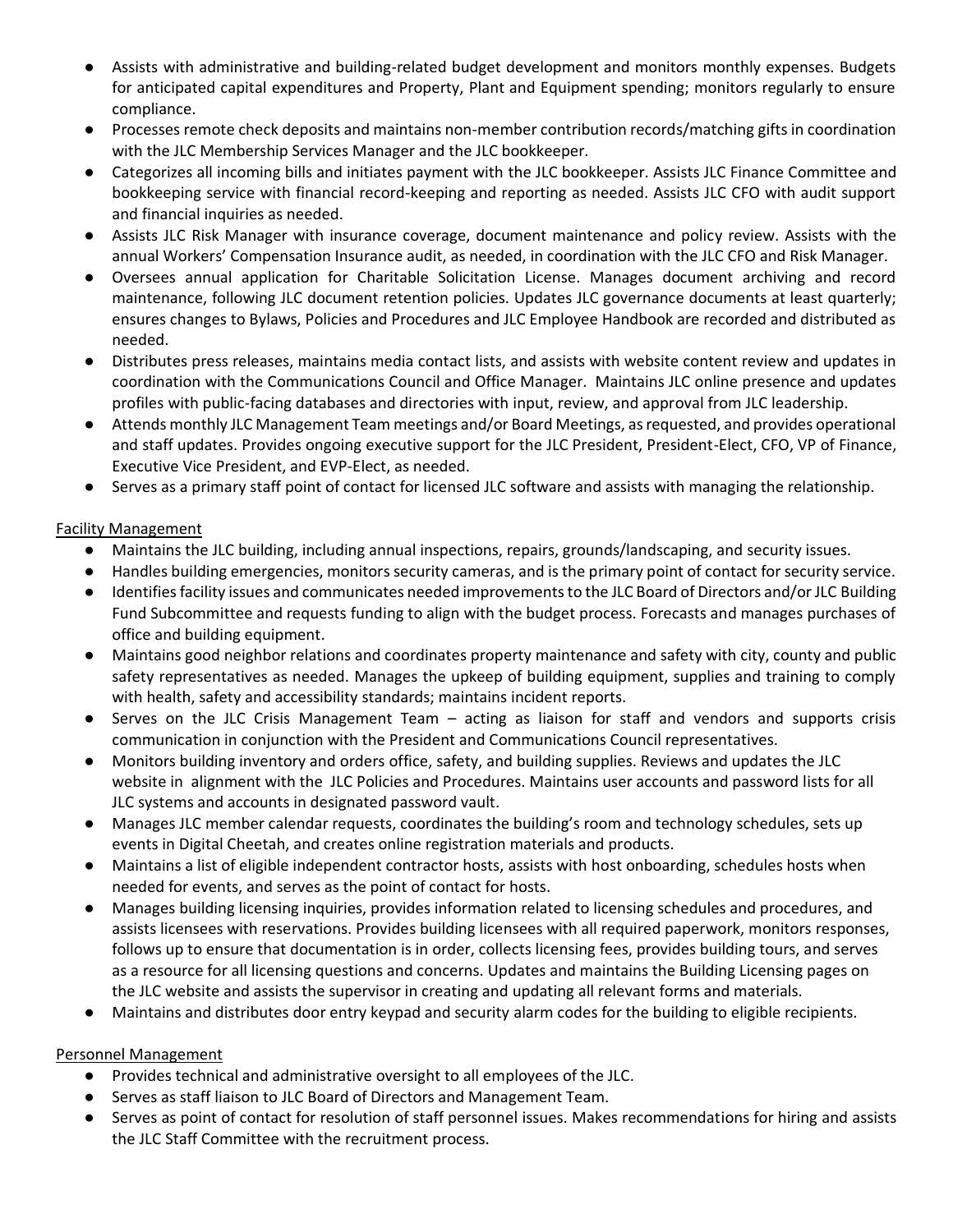- Assists with administrative and building-related budget development and monitors monthly expenses. Budgets for anticipated capital expenditures and Property, Plant and Equipment spending; monitors regularly to ensure compliance.
- Processes remote check deposits and maintains non-member contribution records/matching gifts in coordination with the JLC Membership Services Manager and the JLC bookkeeper.
- Categorizes all incoming bills and initiates payment with the JLC bookkeeper. Assists JLC Finance Committee and bookkeeping service with financial record-keeping and reporting as needed. Assists JLC CFO with audit support and financial inquiries as needed.
- Assists JLC Risk Manager with insurance coverage, document maintenance and policy review. Assists with the annual Workers' Compensation Insurance audit, as needed, in coordination with the JLC CFO and Risk Manager.
- Oversees annual application for Charitable Solicitation License. Manages document archiving and record maintenance, following JLC document retention policies. Updates JLC governance documents at least quarterly; ensures changes to Bylaws, Policies and Procedures and JLC Employee Handbook are recorded and distributed as needed.
- Distributes press releases, maintains media contact lists, and assists with website content review and updates in coordination with the Communications Council and Office Manager. Maintains JLC online presence and updates profiles with public-facing databases and directories with input, review, and approval from JLC leadership.
- Attends monthly JLC Management Team meetings and/or Board Meetings, as requested, and provides operational and staff updates. Provides ongoing executive support for the JLC President, President-Elect, CFO, VP of Finance, Executive Vice President, and EVP-Elect, as needed.
- Serves as a primary staff point of contact for licensed JLC software and assists with managing the relationship.

# Facility Management

- Maintains the JLC building, including annual inspections, repairs, grounds/landscaping, and security issues.
- Handles building emergencies, monitors security cameras, and is the primary point of contact for security service.
- Identifies facility issues and communicates needed improvements to the JLC Board of Directors and/or JLC Building Fund Subcommittee and requests funding to align with the budget process. Forecasts and manages purchases of office and building equipment.
- Maintains good neighbor relations and coordinates property maintenance and safety with city, county and public safety representatives as needed. Manages the upkeep of building equipment, supplies and training to comply with health, safety and accessibility standards; maintains incident reports.
- Serves on the JLC Crisis Management Team acting as liaison for staff and vendors and supports crisis communication in conjunction with the President and Communications Council representatives.
- Monitors building inventory and orders office, safety, and building supplies. Reviews and updates the JLC website in alignment with the JLC Policies and Procedures. Maintains user accounts and password lists for all JLC systems and accounts in designated password vault.
- Manages JLC member calendar requests, coordinates the building's room and technology schedules, sets up events in Digital Cheetah, and creates online registration materials and products.
- Maintains a list of eligible independent contractor hosts, assists with host onboarding, schedules hosts when needed for events, and serves as the point of contact for hosts.
- Manages building licensing inquiries, provides information related to licensing schedules and procedures, and assists licensees with reservations. Provides building licensees with all required paperwork, monitors responses, follows up to ensure that documentation is in order, collects licensing fees, provides building tours, and serves as a resource for all licensing questions and concerns. Updates and maintains the Building Licensing pages on the JLC website and assists the supervisor in creating and updating all relevant forms and materials.
- Maintains and distributes door entry keypad and security alarm codes for the building to eligible recipients.

## Personnel Management

- Provides technical and administrative oversight to all employees of the JLC.
- Serves as staff liaison to JLC Board of Directors and Management Team.
- Serves as point of contact for resolution of staff personnel issues. Makes recommendations for hiring and assists the JLC Staff Committee with the recruitment process.